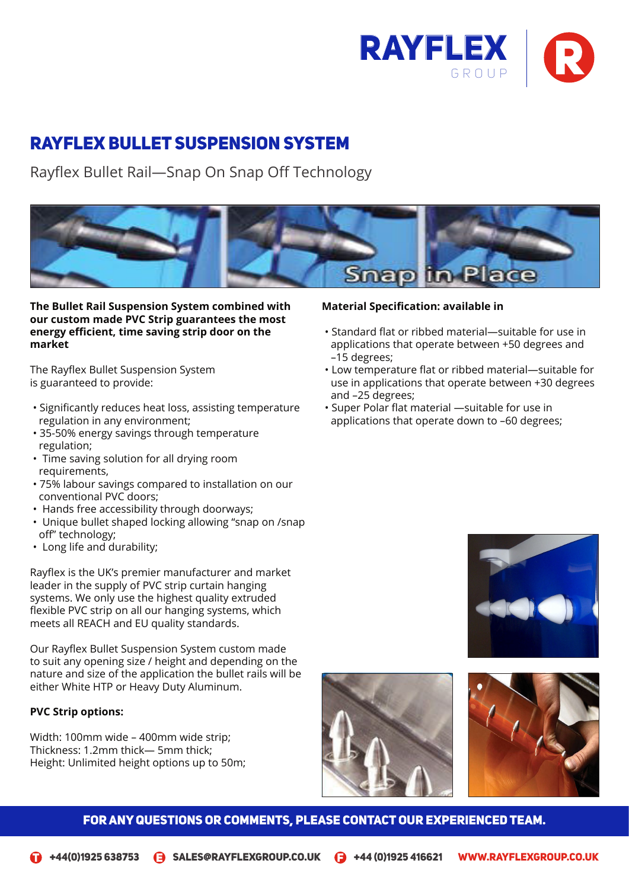

# Rayflex Bullet Suspension System

Rayflex Bullet Rail—Snap On Snap Off Technology Rayflex Bullet Rail—Snap On Snap Off Technology



**The Bullet Rail Suspension System combined with our custom made PVC Strip guarantees the most energy efficient, time saving strip door on the strip of the Suspension Suspension System compiled with our co**<br> **Energy efficient, time saving strip door on the strip of the strip of the Suspension System of the Suspensi market**

The Rayflex Bullet Suspension System is guaranteed to provide:

- Significantly reduces heat loss, assisting temperature regulation in any environment;
- 35-50% energy savings through temperature regulation;
- Time saving solution for all drying room requirements,
- 75% labour savings compared to installation on our conventional PVC doors;
- Hands free accessibility through doorways;
- Unique bullet shaped locking allowing "snap on /snap off" technology;  $\mathsf{S}$ ignificantly reduces heat loss,  $\mathsf{S}$ ignificantly reduces heat loss,  $\mathsf{S}$ ignificantly reduces heat loss,  $\mathsf{S}$ ignificantly reduces heat loss,  $\mathsf{S}$ ignificantly reduces heat loss,  $\mathsf{S}$ ignificantly
- Long life and durability;

Rayflex is the UK's premier manufacturer and market leader in the supply of PVC strip curtain hanging systems. We only use the highest quality extruded flexible PVC strip on all our hanging systems, which meets all REACH and EU quality standards.  $\mathbf{S}$  satisfies the sample of  $\mathbf{S}$  satisfies the sample of  $\mathbf{S}$ 

Our Rayflex Bullet Suspension System custom made to suit any opening size / height and depending on the nature and size of the application the bullet rails will be either White HTP or Heavy Duty Aluminum.

## **PVC Strip options:**

Width: 100mm wide – 400mm wide strip; Thickness: 1.2mm thick— 5mm thick; Height: Unlimited height options up to 50m;

# **Material Specification: available in**

- **ket**<br>
Publications that operate between +50 degrees and<br>  $\frac{15}{15}$  degrees:  $R$ • Standard flat or ribbed material—suitable for use in –15 degrees;
	- Low temperature flat or ribbed material—suitable for<br>Lise in applications that operate between  $\pm$ 30 degrees –15 degrees;<br>• Low temperature flat or ribbed material—suitable for use in applications that operate between +30 degrees and –25 degrees;

assisting temperature regulation in the second temperature regulation in the second temperature regulation in

• Super Polar flat material —suitable for use in applications that operate down to –60 degrees;





doorways;

The Rayflex Bullet Suspension System is guaranteed to provide:

assisting temperature regulation in

Significantly reduces heat loss, and the significant

Hands free accessibility through

#### FOR ANY QUESTIONS OR COMMENTS, PLEASE CONTACT OUR EXPERIENCED TEAM.  $\blacksquare$  $U_{\rm eff}$ unique bullet shaped locking shaped locking shaped locking shaped locking shaped locking shaped locking shaped locking shaped locking shaped locking shaped locking shaped locking shaped locking shaped locking shap